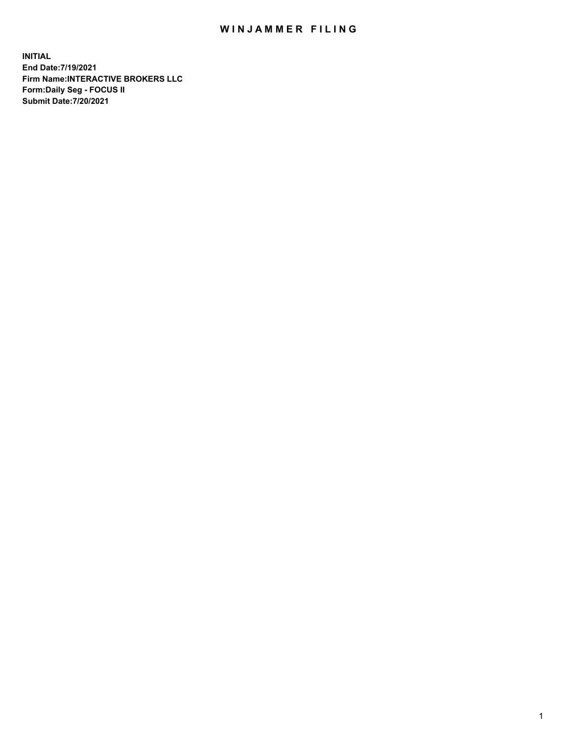## WIN JAMMER FILING

**INITIAL End Date:7/19/2021 Firm Name:INTERACTIVE BROKERS LLC Form:Daily Seg - FOCUS II Submit Date:7/20/2021**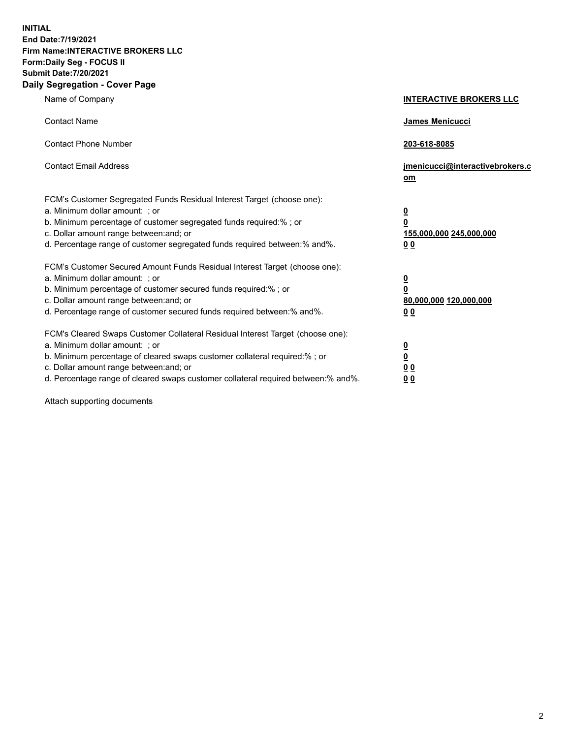**INITIAL End Date:7/19/2021 Firm Name:INTERACTIVE BROKERS LLC Form:Daily Seg - FOCUS II Submit Date:7/20/2021 Daily Segregation - Cover Page**

| Name of Company                                                                                                                                                                                                                                                                                                                | <b>INTERACTIVE BROKERS LLC</b>                                                     |  |
|--------------------------------------------------------------------------------------------------------------------------------------------------------------------------------------------------------------------------------------------------------------------------------------------------------------------------------|------------------------------------------------------------------------------------|--|
| <b>Contact Name</b>                                                                                                                                                                                                                                                                                                            | James Menicucci                                                                    |  |
| <b>Contact Phone Number</b>                                                                                                                                                                                                                                                                                                    | 203-618-8085                                                                       |  |
| <b>Contact Email Address</b>                                                                                                                                                                                                                                                                                                   | jmenicucci@interactivebrokers.c<br>om                                              |  |
| FCM's Customer Segregated Funds Residual Interest Target (choose one):<br>a. Minimum dollar amount: ; or<br>b. Minimum percentage of customer segregated funds required:% ; or<br>c. Dollar amount range between: and; or<br>d. Percentage range of customer segregated funds required between:% and%.                         | $\overline{\mathbf{0}}$<br>$\pmb{0}$<br>155,000,000 245,000,000<br>0 <sub>0</sub>  |  |
| FCM's Customer Secured Amount Funds Residual Interest Target (choose one):<br>a. Minimum dollar amount: ; or<br>b. Minimum percentage of customer secured funds required:% ; or<br>c. Dollar amount range between: and; or<br>d. Percentage range of customer secured funds required between:% and%.                           | $\overline{\mathbf{0}}$<br>$\overline{\mathbf{0}}$<br>80,000,000 120,000,000<br>00 |  |
| FCM's Cleared Swaps Customer Collateral Residual Interest Target (choose one):<br>a. Minimum dollar amount: ; or<br>b. Minimum percentage of cleared swaps customer collateral required:% ; or<br>c. Dollar amount range between: and; or<br>d. Percentage range of cleared swaps customer collateral required between:% and%. | $\frac{0}{0}$<br>0 <sub>0</sub><br>0 <sub>0</sub>                                  |  |

Attach supporting documents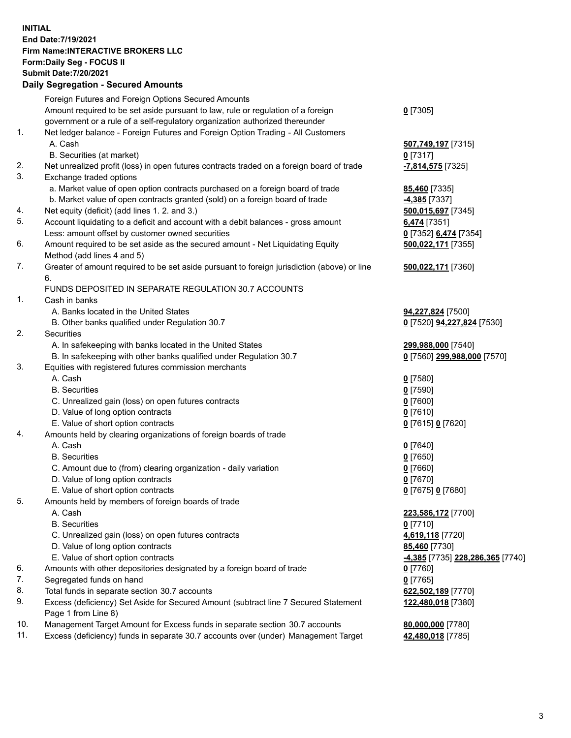**INITIAL End Date:7/19/2021 Firm Name:INTERACTIVE BROKERS LLC Form:Daily Seg - FOCUS II Submit Date:7/20/2021 Daily Segregation - Secured Amounts**

## Foreign Futures and Foreign Options Secured Amounts Amount required to be set aside pursuant to law, rule or regulation of a foreign government or a rule of a self-regulatory organization authorized thereunder **0** [7305] 1. Net ledger balance - Foreign Futures and Foreign Option Trading - All Customers A. Cash **507,749,197** [7315] B. Securities (at market) **0** [7317] 2. Net unrealized profit (loss) in open futures contracts traded on a foreign board of trade **-7,814,575** [7325] 3. Exchange traded options a. Market value of open option contracts purchased on a foreign board of trade **85,460** [7335] b. Market value of open contracts granted (sold) on a foreign board of trade **-4,385** [7337] 4. Net equity (deficit) (add lines 1. 2. and 3.) **500,015,697** [7345] 5. Account liquidating to a deficit and account with a debit balances - gross amount **6,474** [7351] Less: amount offset by customer owned securities **0** [7352] **6,474** [7354] 6. Amount required to be set aside as the secured amount - Net Liquidating Equity Method (add lines 4 and 5) **500,022,171** [7355] 7. Greater of amount required to be set aside pursuant to foreign jurisdiction (above) or line 6. **500,022,171** [7360] FUNDS DEPOSITED IN SEPARATE REGULATION 30.7 ACCOUNTS 1. Cash in banks A. Banks located in the United States **94,227,824** [7500] B. Other banks qualified under Regulation 30.7 **0** [7520] **94,227,824** [7530] 2. Securities A. In safekeeping with banks located in the United States **299,988,000** [7540] B. In safekeeping with other banks qualified under Regulation 30.7 **0** [7560] **299,988,000** [7570] 3. Equities with registered futures commission merchants A. Cash **0** [7580] B. Securities **0** [7590] C. Unrealized gain (loss) on open futures contracts **0** [7600] D. Value of long option contracts **0** [7610] E. Value of short option contracts **0** [7615] **0** [7620] 4. Amounts held by clearing organizations of foreign boards of trade A. Cash **0** [7640] B. Securities **0** [7650] C. Amount due to (from) clearing organization - daily variation **0** [7660] D. Value of long option contracts **0** [7670] E. Value of short option contracts **0** [7675] **0** [7680] 5. Amounts held by members of foreign boards of trade A. Cash **223,586,172** [7700] B. Securities **0** [7710] C. Unrealized gain (loss) on open futures contracts **4,619,118** [7720] D. Value of long option contracts **85,460** [7730] E. Value of short option contracts **-4,385** [7735] **228,286,365** [7740] 6. Amounts with other depositories designated by a foreign board of trade **0** [7760] 7. Segregated funds on hand **0** [7765] 8. Total funds in separate section 30.7 accounts **622,502,189** [7770] 9. Excess (deficiency) Set Aside for Secured Amount (subtract line 7 Secured Statement Page 1 from Line 8) **122,480,018** [7380] 10. Management Target Amount for Excess funds in separate section 30.7 accounts **80,000,000** [7780] 11. Excess (deficiency) funds in separate 30.7 accounts over (under) Management Target **42,480,018** [7785]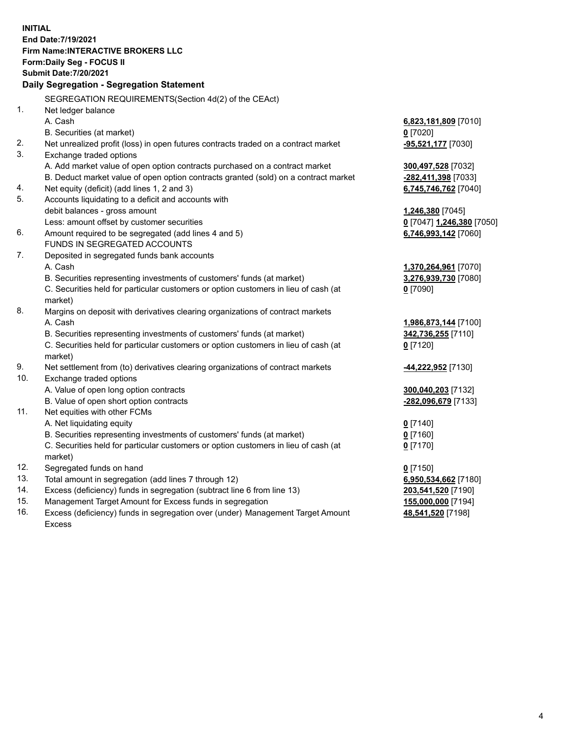**INITIAL End Date:7/19/2021 Firm Name:INTERACTIVE BROKERS LLC Form:Daily Seg - FOCUS II Submit Date:7/20/2021 Daily Segregation - Segregation Statement** SEGREGATION REQUIREMENTS(Section 4d(2) of the CEAct) 1. Net ledger balance A. Cash **6,823,181,809** [7010] B. Securities (at market) **0** [7020] 2. Net unrealized profit (loss) in open futures contracts traded on a contract market **-95,521,177** [7030] 3. Exchange traded options A. Add market value of open option contracts purchased on a contract market **300,497,528** [7032] B. Deduct market value of open option contracts granted (sold) on a contract market **-282,411,398** [7033] 4. Net equity (deficit) (add lines 1, 2 and 3) **6,745,746,762** [7040] 5. Accounts liquidating to a deficit and accounts with debit balances - gross amount **1,246,380** [7045] Less: amount offset by customer securities **0** [7047] **1,246,380** [7050] 6. Amount required to be segregated (add lines 4 and 5) **6,746,993,142** [7060] FUNDS IN SEGREGATED ACCOUNTS 7. Deposited in segregated funds bank accounts A. Cash **1,370,264,961** [7070] B. Securities representing investments of customers' funds (at market) **3,276,939,730** [7080] C. Securities held for particular customers or option customers in lieu of cash (at market) **0** [7090] 8. Margins on deposit with derivatives clearing organizations of contract markets A. Cash **1,986,873,144** [7100] B. Securities representing investments of customers' funds (at market) **342,736,255** [7110] C. Securities held for particular customers or option customers in lieu of cash (at market) **0** [7120] 9. Net settlement from (to) derivatives clearing organizations of contract markets **-44,222,952** [7130] 10. Exchange traded options A. Value of open long option contracts **300,040,203** [7132] B. Value of open short option contracts **-282,096,679** [7133] 11. Net equities with other FCMs A. Net liquidating equity **0** [7140] B. Securities representing investments of customers' funds (at market) **0** [7160] C. Securities held for particular customers or option customers in lieu of cash (at market) **0** [7170] 12. Segregated funds on hand **0** [7150] 13. Total amount in segregation (add lines 7 through 12) **6,950,534,662** [7180] 14. Excess (deficiency) funds in segregation (subtract line 6 from line 13) **203,541,520** [7190] 15. Management Target Amount for Excess funds in segregation **155,000,000** [7194] **48,541,520** [7198]

16. Excess (deficiency) funds in segregation over (under) Management Target Amount Excess